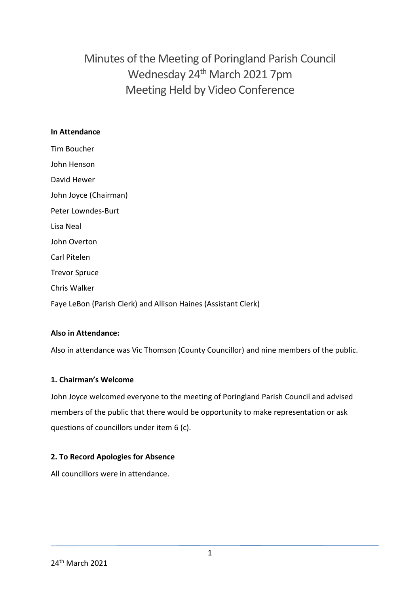# Minutes of the Meeting of Poringland Parish Council Wednesday 24<sup>th</sup> March 2021 7pm Meeting Held by Video Conference

### **In Attendance**

Tim Boucher John Henson David Hewer John Joyce (Chairman) Peter Lowndes-Burt Lisa Neal John Overton Carl Pitelen Trevor Spruce Chris Walker Faye LeBon (Parish Clerk) and Allison Haines (Assistant Clerk)

## **Also in Attendance:**

Also in attendance was Vic Thomson (County Councillor) and nine members of the public.

### **1. Chairman's Welcome**

John Joyce welcomed everyone to the meeting of Poringland Parish Council and advised members of the public that there would be opportunity to make representation or ask questions of councillors under item 6 (c).

### **2. To Record Apologies for Absence**

All councillors were in attendance.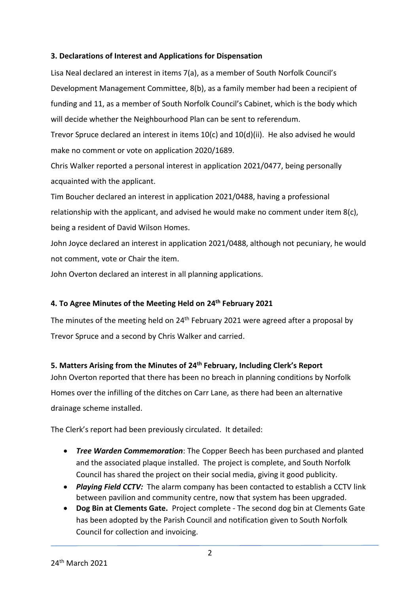### **3. Declarations of Interest and Applications for Dispensation**

Lisa Neal declared an interest in items 7(a), as a member of South Norfolk Council's Development Management Committee, 8(b), as a family member had been a recipient of funding and 11, as a member of South Norfolk Council's Cabinet, which is the body which will decide whether the Neighbourhood Plan can be sent to referendum.

Trevor Spruce declared an interest in items 10(c) and 10(d)(ii). He also advised he would make no comment or vote on application 2020/1689.

Chris Walker reported a personal interest in application 2021/0477, being personally acquainted with the applicant.

Tim Boucher declared an interest in application 2021/0488, having a professional relationship with the applicant, and advised he would make no comment under item 8(c), being a resident of David Wilson Homes.

John Joyce declared an interest in application 2021/0488, although not pecuniary, he would not comment, vote or Chair the item.

John Overton declared an interest in all planning applications.

### **4. To Agree Minutes of the Meeting Held on 24th February 2021**

The minutes of the meeting held on  $24<sup>th</sup>$  February 2021 were agreed after a proposal by Trevor Spruce and a second by Chris Walker and carried.

## **5. Matters Arising from the Minutes of 24th February, Including Clerk's Report**

John Overton reported that there has been no breach in planning conditions by Norfolk Homes over the infilling of the ditches on Carr Lane, as there had been an alternative drainage scheme installed.

The Clerk's report had been previously circulated. It detailed:

- *Tree Warden Commemoration*: The Copper Beech has been purchased and planted and the associated plaque installed. The project is complete, and South Norfolk Council has shared the project on their social media, giving it good publicity.
- *Playing Field CCTV:* The alarm company has been contacted to establish a CCTV link between pavilion and community centre, now that system has been upgraded.
- **Dog Bin at Clements Gate.** Project complete The second dog bin at Clements Gate has been adopted by the Parish Council and notification given to South Norfolk Council for collection and invoicing.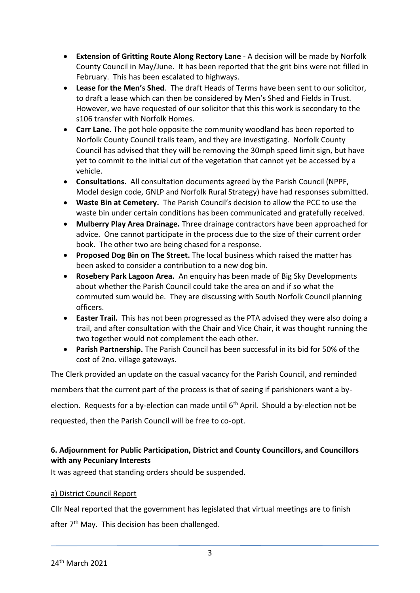- **Extension of Gritting Route Along Rectory Lane** A decision will be made by Norfolk County Council in May/June. It has been reported that the grit bins were not filled in February. This has been escalated to highways.
- **Lease for the Men's Shed**. The draft Heads of Terms have been sent to our solicitor, to draft a lease which can then be considered by Men's Shed and Fields in Trust. However, we have requested of our solicitor that this this work is secondary to the s106 transfer with Norfolk Homes.
- **Carr Lane.** The pot hole opposite the community woodland has been reported to Norfolk County Council trails team, and they are investigating. Norfolk County Council has advised that they will be removing the 30mph speed limit sign, but have yet to commit to the initial cut of the vegetation that cannot yet be accessed by a vehicle.
- **Consultations.** All consultation documents agreed by the Parish Council (NPPF, Model design code, GNLP and Norfolk Rural Strategy) have had responses submitted.
- **Waste Bin at Cemetery.** The Parish Council's decision to allow the PCC to use the waste bin under certain conditions has been communicated and gratefully received.
- **Mulberry Play Area Drainage.** Three drainage contractors have been approached for advice. One cannot participate in the process due to the size of their current order book. The other two are being chased for a response.
- **Proposed Dog Bin on The Street.** The local business which raised the matter has been asked to consider a contribution to a new dog bin.
- **Rosebery Park Lagoon Area.** An enquiry has been made of Big Sky Developments about whether the Parish Council could take the area on and if so what the commuted sum would be. They are discussing with South Norfolk Council planning officers.
- **Easter Trail.** This has not been progressed as the PTA advised they were also doing a trail, and after consultation with the Chair and Vice Chair, it was thought running the two together would not complement the each other.
- **Parish Partnership.** The Parish Council has been successful in its bid for 50% of the cost of 2no. village gateways.

The Clerk provided an update on the casual vacancy for the Parish Council, and reminded members that the current part of the process is that of seeing if parishioners want a byelection. Requests for a by-election can made until 6th April. Should a by-election not be

requested, then the Parish Council will be free to co-opt.

## **6. Adjournment for Public Participation, District and County Councillors, and Councillors with any Pecuniary Interests**

It was agreed that standing orders should be suspended.

## a) District Council Report

Cllr Neal reported that the government has legislated that virtual meetings are to finish after 7<sup>th</sup> May. This decision has been challenged.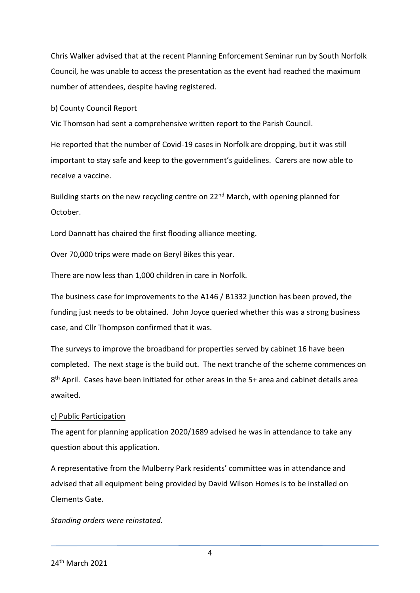Chris Walker advised that at the recent Planning Enforcement Seminar run by South Norfolk Council, he was unable to access the presentation as the event had reached the maximum number of attendees, despite having registered.

### b) County Council Report

Vic Thomson had sent a comprehensive written report to the Parish Council.

He reported that the number of Covid-19 cases in Norfolk are dropping, but it was still important to stay safe and keep to the government's guidelines. Carers are now able to receive a vaccine.

Building starts on the new recycling centre on 22<sup>nd</sup> March, with opening planned for October.

Lord Dannatt has chaired the first flooding alliance meeting.

Over 70,000 trips were made on Beryl Bikes this year.

There are now less than 1,000 children in care in Norfolk.

The business case for improvements to the A146 / B1332 junction has been proved, the funding just needs to be obtained. John Joyce queried whether this was a strong business case, and Cllr Thompson confirmed that it was.

The surveys to improve the broadband for properties served by cabinet 16 have been completed. The next stage is the build out. The next tranche of the scheme commences on 8<sup>th</sup> April. Cases have been initiated for other areas in the 5+ area and cabinet details area awaited.

### c) Public Participation

The agent for planning application 2020/1689 advised he was in attendance to take any question about this application.

A representative from the Mulberry Park residents' committee was in attendance and advised that all equipment being provided by David Wilson Homes is to be installed on Clements Gate.

*Standing orders were reinstated.*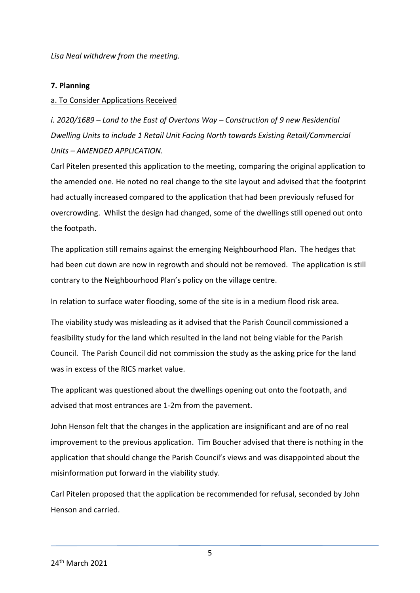*Lisa Neal withdrew from the meeting.* 

### **7. Planning**

### a. To Consider Applications Received

*i. 2020/1689 – Land to the East of Overtons Way – Construction of 9 new Residential Dwelling Units to include 1 Retail Unit Facing North towards Existing Retail/Commercial Units – AMENDED APPLICATION.* 

Carl Pitelen presented this application to the meeting, comparing the original application to the amended one. He noted no real change to the site layout and advised that the footprint had actually increased compared to the application that had been previously refused for overcrowding. Whilst the design had changed, some of the dwellings still opened out onto the footpath.

The application still remains against the emerging Neighbourhood Plan. The hedges that had been cut down are now in regrowth and should not be removed. The application is still contrary to the Neighbourhood Plan's policy on the village centre.

In relation to surface water flooding, some of the site is in a medium flood risk area.

The viability study was misleading as it advised that the Parish Council commissioned a feasibility study for the land which resulted in the land not being viable for the Parish Council. The Parish Council did not commission the study as the asking price for the land was in excess of the RICS market value.

The applicant was questioned about the dwellings opening out onto the footpath, and advised that most entrances are 1-2m from the pavement.

John Henson felt that the changes in the application are insignificant and are of no real improvement to the previous application. Tim Boucher advised that there is nothing in the application that should change the Parish Council's views and was disappointed about the misinformation put forward in the viability study.

Carl Pitelen proposed that the application be recommended for refusal, seconded by John Henson and carried.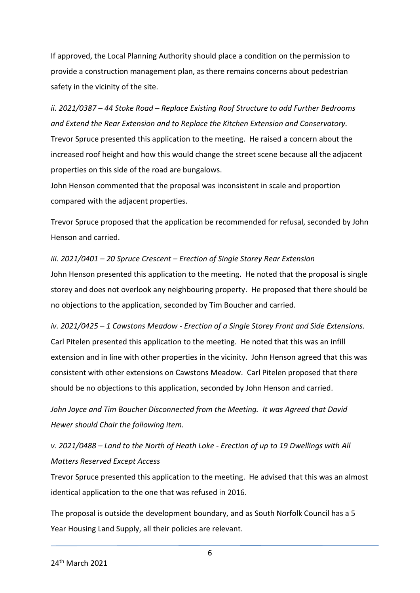If approved, the Local Planning Authority should place a condition on the permission to provide a construction management plan, as there remains concerns about pedestrian safety in the vicinity of the site.

*ii. 2021/0387 – 44 Stoke Road – Replace Existing Roof Structure to add Further Bedrooms and Extend the Rear Extension and to Replace the Kitchen Extension and Conservatory.*  Trevor Spruce presented this application to the meeting. He raised a concern about the increased roof height and how this would change the street scene because all the adjacent properties on this side of the road are bungalows.

John Henson commented that the proposal was inconsistent in scale and proportion compared with the adjacent properties.

Trevor Spruce proposed that the application be recommended for refusal, seconded by John Henson and carried.

*iii. 2021/0401 – 20 Spruce Crescent – Erection of Single Storey Rear Extension* John Henson presented this application to the meeting. He noted that the proposal is single storey and does not overlook any neighbouring property. He proposed that there should be no objections to the application, seconded by Tim Boucher and carried.

*iv. 2021/0425 – 1 Cawstons Meadow - Erection of a Single Storey Front and Side Extensions.* Carl Pitelen presented this application to the meeting. He noted that this was an infill extension and in line with other properties in the vicinity. John Henson agreed that this was consistent with other extensions on Cawstons Meadow. Carl Pitelen proposed that there should be no objections to this application, seconded by John Henson and carried.

*John Joyce and Tim Boucher Disconnected from the Meeting. It was Agreed that David Hewer should Chair the following item.*

*v. 2021/0488 – Land to the North of Heath Loke - Erection of up to 19 Dwellings with All Matters Reserved Except Access*

Trevor Spruce presented this application to the meeting. He advised that this was an almost identical application to the one that was refused in 2016.

The proposal is outside the development boundary, and as South Norfolk Council has a 5 Year Housing Land Supply, all their policies are relevant.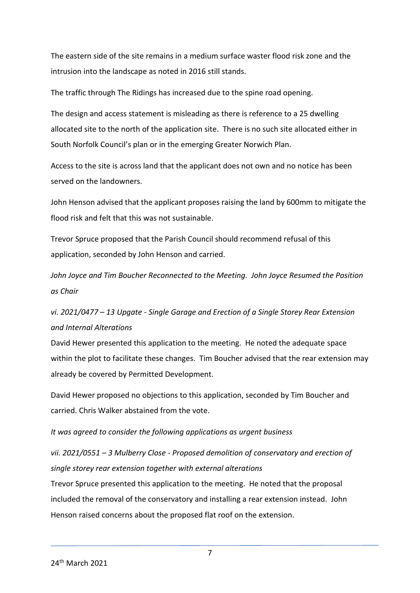The eastern side of the site remains in a medium surface waster flood risk zone and the intrusion into the landscape as noted in 2016 still stands.

The traffic through The Ridings has increased due to the spine road opening.

The design and access statement is misleading as there is reference to a 25 dwelling allocated site to the north of the application site. There is no such site allocated either in South Norfolk Council's plan or in the emerging Greater Norwich Plan.

Access to the site is across land that the applicant does not own and no notice has been served on the landowners.

John Henson advised that the applicant proposes raising the land by 600mm to mitigate the flood risk and felt that this was not sustainable.

Trevor Spruce proposed that the Parish Council should recommend refusal of this application, seconded by John Henson and carried.

*John Joyce and Tim Boucher Reconnected to the Meeting. John Joyce Resumed the Position as Chair*

*vi. 2021/0477 – 13 Upgate - Single Garage and Erection of a Single Storey Rear Extension and Internal Alterations*

David Hewer presented this application to the meeting. He noted the adequate space within the plot to facilitate these changes. Tim Boucher advised that the rear extension may already be covered by Permitted Development.

David Hewer proposed no objections to this application, seconded by Tim Boucher and carried. Chris Walker abstained from the vote.

*It was agreed to consider the following applications as urgent business*

*vii. 2021/0551 – 3 Mulberry Close - Proposed demolition of conservatory and erection of single storey rear extension together with external alterations*

Trevor Spruce presented this application to the meeting. He noted that the proposal included the removal of the conservatory and installing a rear extension instead. John Henson raised concerns about the proposed flat roof on the extension.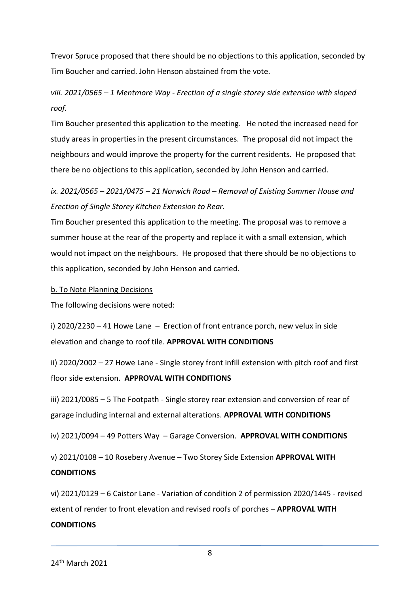Trevor Spruce proposed that there should be no objections to this application, seconded by Tim Boucher and carried. John Henson abstained from the vote.

## *viii. 2021/0565 – 1 Mentmore Way - Erection of a single storey side extension with sloped roof.*

Tim Boucher presented this application to the meeting. He noted the increased need for study areas in properties in the present circumstances. The proposal did not impact the neighbours and would improve the property for the current residents. He proposed that there be no objections to this application, seconded by John Henson and carried.

*ix. 2021/0565 – 2021/0475 – 21 Norwich Road – Removal of Existing Summer House and Erection of Single Storey Kitchen Extension to Rear.*

Tim Boucher presented this application to the meeting. The proposal was to remove a summer house at the rear of the property and replace it with a small extension, which would not impact on the neighbours. He proposed that there should be no objections to this application, seconded by John Henson and carried.

#### b. To Note Planning Decisions

The following decisions were noted:

i) 2020/2230 – 41 Howe Lane – Erection of front entrance porch, new velux in side elevation and change to roof tile. **APPROVAL WITH CONDITIONS**

ii) 2020/2002 – 27 Howe Lane - Single storey front infill extension with pitch roof and first floor side extension. **APPROVAL WITH CONDITIONS**

iii) 2021/0085 – 5 The Footpath - Single storey rear extension and conversion of rear of garage including internal and external alterations. **APPROVAL WITH CONDITIONS**

iv) 2021/0094 – 49 Potters Way – Garage Conversion. **APPROVAL WITH CONDITIONS**

v) 2021/0108 – 10 Rosebery Avenue – Two Storey Side Extension **APPROVAL WITH CONDITIONS**

vi) 2021/0129 – 6 Caistor Lane - Variation of condition 2 of permission 2020/1445 - revised extent of render to front elevation and revised roofs of porches – **APPROVAL WITH CONDITIONS**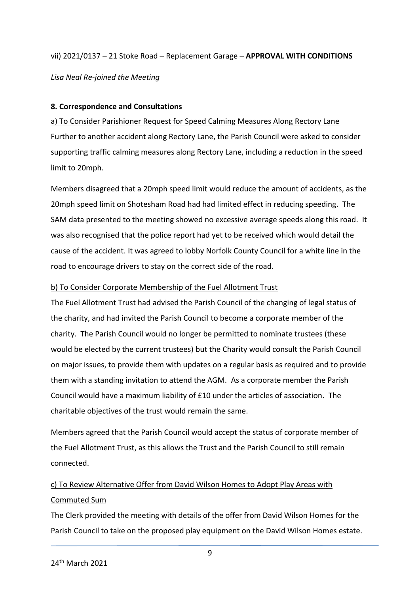### vii) 2021/0137 – 21 Stoke Road – Replacement Garage – **APPROVAL WITH CONDITIONS**

*Lisa Neal Re-joined the Meeting*

### **8. Correspondence and Consultations**

## a) To Consider Parishioner Request for Speed Calming Measures Along Rectory Lane Further to another accident along Rectory Lane, the Parish Council were asked to consider supporting traffic calming measures along Rectory Lane, including a reduction in the speed limit to 20mph.

Members disagreed that a 20mph speed limit would reduce the amount of accidents, as the 20mph speed limit on Shotesham Road had had limited effect in reducing speeding. The SAM data presented to the meeting showed no excessive average speeds along this road. It was also recognised that the police report had yet to be received which would detail the cause of the accident. It was agreed to lobby Norfolk County Council for a white line in the road to encourage drivers to stay on the correct side of the road.

### b) To Consider Corporate Membership of the Fuel Allotment Trust

The Fuel Allotment Trust had advised the Parish Council of the changing of legal status of the charity, and had invited the Parish Council to become a corporate member of the charity. The Parish Council would no longer be permitted to nominate trustees (these would be elected by the current trustees) but the Charity would consult the Parish Council on major issues, to provide them with updates on a regular basis as required and to provide them with a standing invitation to attend the AGM. As a corporate member the Parish Council would have a maximum liability of £10 under the articles of association. The charitable objectives of the trust would remain the same.

Members agreed that the Parish Council would accept the status of corporate member of the Fuel Allotment Trust, as this allows the Trust and the Parish Council to still remain connected.

## c) To Review Alternative Offer from David Wilson Homes to Adopt Play Areas with Commuted Sum

The Clerk provided the meeting with details of the offer from David Wilson Homes for the Parish Council to take on the proposed play equipment on the David Wilson Homes estate.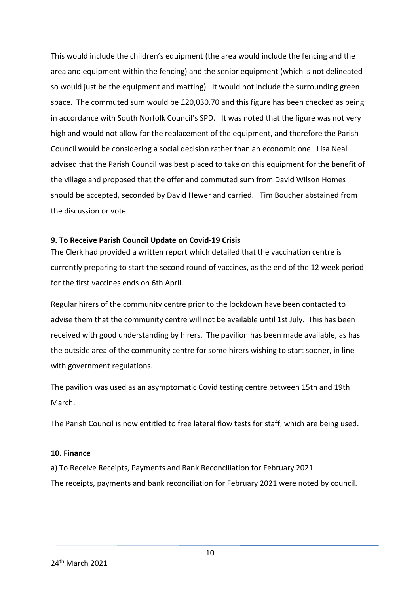This would include the children's equipment (the area would include the fencing and the area and equipment within the fencing) and the senior equipment (which is not delineated so would just be the equipment and matting). It would not include the surrounding green space. The commuted sum would be £20,030.70 and this figure has been checked as being in accordance with South Norfolk Council's SPD. It was noted that the figure was not very high and would not allow for the replacement of the equipment, and therefore the Parish Council would be considering a social decision rather than an economic one. Lisa Neal advised that the Parish Council was best placed to take on this equipment for the benefit of the village and proposed that the offer and commuted sum from David Wilson Homes should be accepted, seconded by David Hewer and carried. Tim Boucher abstained from the discussion or vote.

### **9. To Receive Parish Council Update on Covid-19 Crisis**

The Clerk had provided a written report which detailed that the vaccination centre is currently preparing to start the second round of vaccines, as the end of the 12 week period for the first vaccines ends on 6th April.

Regular hirers of the community centre prior to the lockdown have been contacted to advise them that the community centre will not be available until 1st July. This has been received with good understanding by hirers. The pavilion has been made available, as has the outside area of the community centre for some hirers wishing to start sooner, in line with government regulations.

The pavilion was used as an asymptomatic Covid testing centre between 15th and 19th March.

The Parish Council is now entitled to free lateral flow tests for staff, which are being used.

#### **10. Finance**

a) To Receive Receipts, Payments and Bank Reconciliation for February 2021 The receipts, payments and bank reconciliation for February 2021 were noted by council.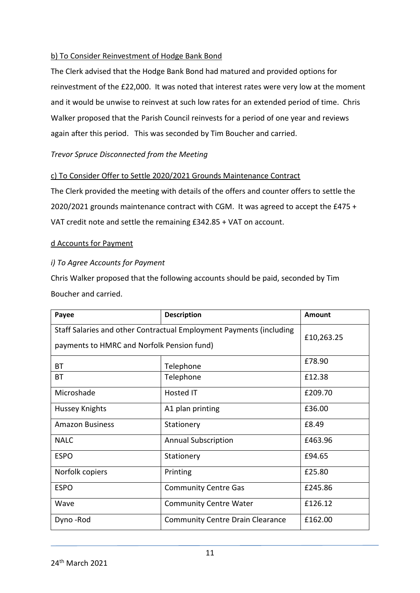## b) To Consider Reinvestment of Hodge Bank Bond

The Clerk advised that the Hodge Bank Bond had matured and provided options for reinvestment of the £22,000. It was noted that interest rates were very low at the moment and it would be unwise to reinvest at such low rates for an extended period of time. Chris Walker proposed that the Parish Council reinvests for a period of one year and reviews again after this period. This was seconded by Tim Boucher and carried.

## *Trevor Spruce Disconnected from the Meeting*

### c) To Consider Offer to Settle 2020/2021 Grounds Maintenance Contract

The Clerk provided the meeting with details of the offers and counter offers to settle the 2020/2021 grounds maintenance contract with CGM. It was agreed to accept the £475 + VAT credit note and settle the remaining £342.85 + VAT on account.

### d Accounts for Payment

### *i) To Agree Accounts for Payment*

Chris Walker proposed that the following accounts should be paid, seconded by Tim Boucher and carried.

| Payee                                                               | <b>Description</b>                      | Amount     |
|---------------------------------------------------------------------|-----------------------------------------|------------|
| Staff Salaries and other Contractual Employment Payments (including |                                         | £10,263.25 |
| payments to HMRC and Norfolk Pension fund)                          |                                         |            |
| ВT                                                                  | Telephone                               | £78.90     |
| ВT                                                                  | Telephone                               | £12.38     |
| Microshade                                                          | <b>Hosted IT</b>                        | £209.70    |
| Hussey Knights                                                      | A1 plan printing                        | £36.00     |
| <b>Amazon Business</b>                                              | Stationery                              | £8.49      |
| <b>NALC</b>                                                         | <b>Annual Subscription</b>              | £463.96    |
| <b>ESPO</b>                                                         | Stationery                              | £94.65     |
| Norfolk copiers                                                     | Printing                                | £25.80     |
| <b>ESPO</b>                                                         | <b>Community Centre Gas</b>             | £245.86    |
| Wave                                                                | <b>Community Centre Water</b>           | £126.12    |
| Dyno-Rod                                                            | <b>Community Centre Drain Clearance</b> | £162.00    |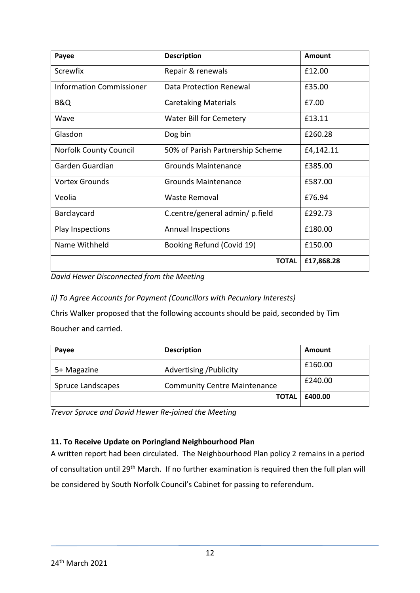| Payee                           | <b>Description</b>               | Amount     |
|---------------------------------|----------------------------------|------------|
| <b>Screwfix</b>                 | Repair & renewals                | £12.00     |
| <b>Information Commissioner</b> | Data Protection Renewal          | £35.00     |
| <b>B&amp;Q</b>                  | <b>Caretaking Materials</b>      | £7.00      |
| Wave                            | <b>Water Bill for Cemetery</b>   | £13.11     |
| Glasdon                         | Dog bin                          | £260.28    |
| <b>Norfolk County Council</b>   | 50% of Parish Partnership Scheme | £4,142.11  |
| Garden Guardian                 | <b>Grounds Maintenance</b>       | £385.00    |
| <b>Vortex Grounds</b>           | <b>Grounds Maintenance</b>       | £587.00    |
| Veolia                          | Waste Removal                    | £76.94     |
| Barclaycard                     | C.centre/general admin/ p.field  | £292.73    |
| Play Inspections                | <b>Annual Inspections</b>        | £180.00    |
| Name Withheld                   | Booking Refund (Covid 19)        | £150.00    |
|                                 | <b>TOTAL</b>                     | £17,868.28 |

*David Hewer Disconnected from the Meeting*

*ii) To Agree Accounts for Payment (Councillors with Pecuniary Interests)*

Chris Walker proposed that the following accounts should be paid, seconded by Tim Boucher and carried.

| Payee             | <b>Description</b>                  | Amount  |
|-------------------|-------------------------------------|---------|
| 5+ Magazine       | <b>Advertising / Publicity</b>      | £160.00 |
| Spruce Landscapes | <b>Community Centre Maintenance</b> | £240.00 |
|                   | <b>TOTAL</b>                        | £400.00 |

*Trevor Spruce and David Hewer Re-joined the Meeting*

## **11. To Receive Update on Poringland Neighbourhood Plan**

A written report had been circulated. The Neighbourhood Plan policy 2 remains in a period of consultation until 29th March. If no further examination is required then the full plan will be considered by South Norfolk Council's Cabinet for passing to referendum.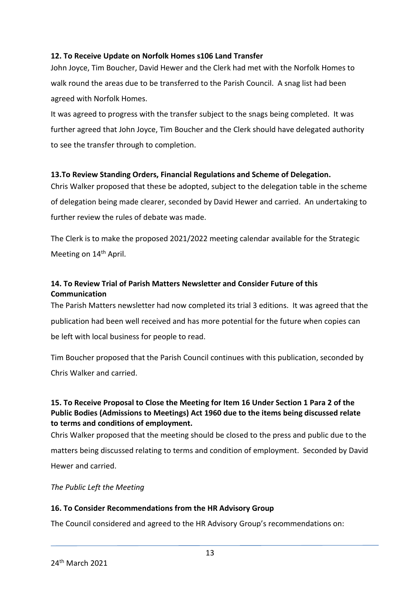## **12. To Receive Update on Norfolk Homes s106 Land Transfer**

John Joyce, Tim Boucher, David Hewer and the Clerk had met with the Norfolk Homes to walk round the areas due to be transferred to the Parish Council. A snag list had been agreed with Norfolk Homes.

It was agreed to progress with the transfer subject to the snags being completed. It was further agreed that John Joyce, Tim Boucher and the Clerk should have delegated authority to see the transfer through to completion.

### **13.To Review Standing Orders, Financial Regulations and Scheme of Delegation.**

Chris Walker proposed that these be adopted, subject to the delegation table in the scheme of delegation being made clearer, seconded by David Hewer and carried. An undertaking to further review the rules of debate was made.

The Clerk is to make the proposed 2021/2022 meeting calendar available for the Strategic Meeting on 14<sup>th</sup> April.

## **14. To Review Trial of Parish Matters Newsletter and Consider Future of this Communication**

The Parish Matters newsletter had now completed its trial 3 editions. It was agreed that the publication had been well received and has more potential for the future when copies can be left with local business for people to read.

Tim Boucher proposed that the Parish Council continues with this publication, seconded by Chris Walker and carried.

## **15. To Receive Proposal to Close the Meeting for Item 16 Under Section 1 Para 2 of the Public Bodies (Admissions to Meetings) Act 1960 due to the items being discussed relate to terms and conditions of employment.**

Chris Walker proposed that the meeting should be closed to the press and public due to the matters being discussed relating to terms and condition of employment. Seconded by David Hewer and carried.

### *The Public Left the Meeting*

## **16. To Consider Recommendations from the HR Advisory Group**

The Council considered and agreed to the HR Advisory Group's recommendations on: